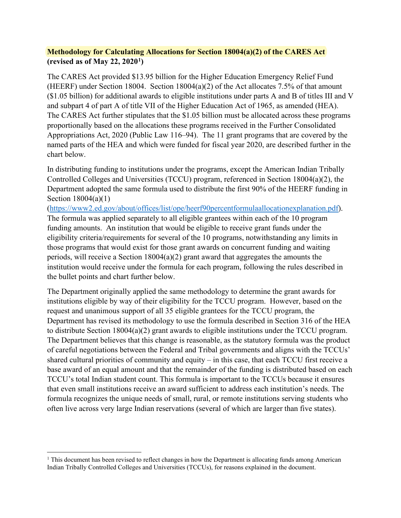## **Methodology for Calculating Allocations for Section 18004(a)(2) of the CARES Act (revised as of May 22, 2020[1](#page-0-0))**

The CARES Act provided \$13.95 billion for the Higher Education Emergency Relief Fund (HEERF) under Section 18004. Section 18004(a)(2) of the Act allocates 7.5% of that amount (\$1.05 billion) for additional awards to eligible institutions under parts A and B of titles III and V and subpart 4 of part A of title VII of the Higher Education Act of 1965, as amended (HEA). The CARES Act further stipulates that the \$1.05 billion must be allocated across these programs proportionally based on the allocations these programs received in the Further Consolidated Appropriations Act, 2020 (Public Law 116–94). The 11 grant programs that are covered by the named parts of the HEA and which were funded for fiscal year 2020, are described further in the chart below.

In distributing funding to institutions under the programs, except the American Indian Tribally Controlled Colleges and Universities (TCCU) program, referenced in Section 18004(a)(2), the Department adopted the same formula used to distribute the first 90% of the HEERF funding in Section 18004(a)(1)

[\(https://www2.ed.gov/about/offices/list/ope/heerf90percentformulaallocationexplanation.pdf\)](https://www2.ed.gov/about/offices/list/ope/heerf90percentformulaallocationexplanation.pdf). The formula was applied separately to all eligible grantees within each of the 10 program funding amounts. An institution that would be eligible to receive grant funds under the eligibility criteria/requirements for several of the 10 programs, notwithstanding any limits in those programs that would exist for those grant awards on concurrent funding and waiting periods, will receive a Section 18004(a)(2) grant award that aggregates the amounts the institution would receive under the formula for each program, following the rules described in the bullet points and chart further below.

The Department originally applied the same methodology to determine the grant awards for institutions eligible by way of their eligibility for the TCCU program. However, based on the request and unanimous support of all 35 eligible grantees for the TCCU program, the Department has revised its methodology to use the formula described in Section 316 of the HEA to distribute Section 18004(a)(2) grant awards to eligible institutions under the TCCU program. The Department believes that this change is reasonable, as the statutory formula was the product of careful negotiations between the Federal and Tribal governments and aligns with the TCCUs' shared cultural priorities of community and equity – in this case, that each TCCU first receive a base award of an equal amount and that the remainder of the funding is distributed based on each TCCU's total Indian student count. This formula is important to the TCCUs because it ensures that even small institutions receive an award sufficient to address each institution's needs. The formula recognizes the unique needs of small, rural, or remote institutions serving students who often live across very large Indian reservations (several of which are larger than five states).

<span id="page-0-0"></span> $1$  This document has been revised to reflect changes in how the Department is allocating funds among American Indian Tribally Controlled Colleges and Universities (TCCUs), for reasons explained in the document.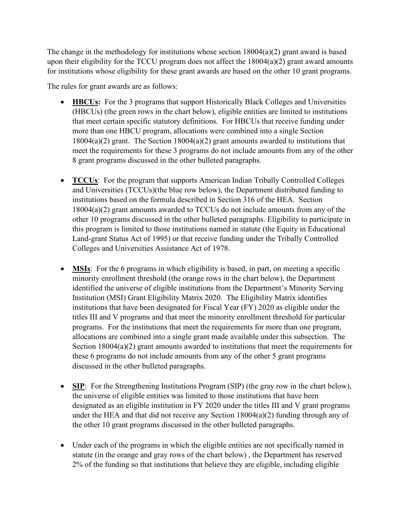The change in the methodology for institutions whose section  $18004(a)(2)$  grant award is based upon their eligibility for the TCCU program does not affect the  $18004(a)(2)$  grant award amounts for institutions whose eligibility for these grant awards are based on the other 10 grant programs.

The rules for grant awards are as follows:

- **HBCUs:** For the 3 programs that support Historically Black Colleges and Universities (HBCUs) (the green rows in the chart below), eligible entities are limited to institutions that meet certain specific statutory definitions. For HBCUs that receive funding under more than one HBCU program, allocations were combined into a single Section 18004(a)(2) grant. The Section 18004(a)(2) grant amounts awarded to institutions that meet the requirements for these 3 programs do not include amounts from any of the other 8 grant programs discussed in the other bulleted paragraphs.
- **TCCUs:** For the program that supports American Indian Tribally Controlled Colleges and Universities (TCCUs)(the blue row below), the Department distributed funding to institutions based on the formula described in Section 316 of the HEA. Section 18004(a)(2) grant amounts awarded to TCCUs do not include amounts from any of the other 10 programs discussed in the other bulleted paragraphs. Eligibility to participate in this program is limited to those institutions named in statute (the Equity in Educational Land-grant Status Act of 1995) or that receive funding under the Tribally Controlled Colleges and Universities Assistance Act of 1978.
- **MSIs:** For the 6 programs in which eligibility is based, in part, on meeting a specific minority enrollment threshold (the orange rows in the chart below), the Department identified the universe of eligible institutions from the Department's Minority Serving Institution (MSI) Grant Eligibility Matrix 2020. The Eligibility Matrix identifies institutions that have been designated for Fiscal Year (FY) 2020 as eligible under the titles III and V programs and that meet the minority enrollment threshold for particular programs. For the institutions that meet the requirements for more than one program, allocations are combined into a single grant made available under this subsection. The Section 18004(a)(2) grant amounts awarded to institutions that meet the requirements for these 6 programs do not include amounts from any of the other 5 grant programs discussed in the other bulleted paragraphs.
- **SIP**: For the Strengthening Institutions Program (SIP) (the gray row in the chart below), the universe of eligible entities was limited to those institutions that have been designated as an eligible institution in FY 2020 under the titles III and V grant programs under the HEA and that did not receive any Section 18004(a)(2) funding through any of the other 10 grant programs discussed in the other bulleted paragraphs.
- Under each of the programs in which the eligible entities are not specifically named in statute (in the orange and gray rows of the chart below) , the Department has reserved 2% of the funding so that institutions that believe they are eligible, including eligible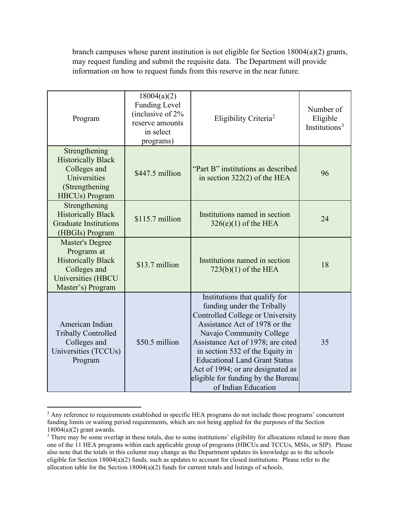branch campuses whose parent institution is not eligible for Section 18004(a)(2) grants, may request funding and submit the requisite data. The Department will provide information on how to request funds from this reserve in the near future.

| Program                                                                                                                              | 18004(a)(2)<br><b>Funding Level</b><br>(inclusive of 2%<br>reserve amounts<br>in select<br>programs) | Eligibility Criteria <sup>2</sup>                                                                                                                                                                                                                                                                                                                                              | Number of<br>Eligible<br>Institutions <sup>3</sup> |
|--------------------------------------------------------------------------------------------------------------------------------------|------------------------------------------------------------------------------------------------------|--------------------------------------------------------------------------------------------------------------------------------------------------------------------------------------------------------------------------------------------------------------------------------------------------------------------------------------------------------------------------------|----------------------------------------------------|
| Strengthening<br><b>Historically Black</b><br>Colleges and<br>Universities<br>(Strengthening)<br><b>HBCUs</b> ) Program              | \$447.5 million                                                                                      | "Part B" institutions as described<br>in section $322(2)$ of the HEA                                                                                                                                                                                                                                                                                                           | 96                                                 |
| Strengthening<br><b>Historically Black</b><br><b>Graduate Institutions</b><br>(HBGIs) Program                                        | Institutions named in section<br>$$115.7$ million<br>$326(e)(1)$ of the HEA                          |                                                                                                                                                                                                                                                                                                                                                                                | 24                                                 |
| <b>Master's Degree</b><br>Programs at<br><b>Historically Black</b><br>Colleges and<br><b>Universities (HBCU</b><br>Master's) Program | \$13.7 million                                                                                       | Institutions named in section<br>$723(b)(1)$ of the HEA                                                                                                                                                                                                                                                                                                                        | 18                                                 |
| American Indian<br><b>Tribally Controlled</b><br>Colleges and<br>Universities (TCCUs)<br>Program                                     | \$50.5 million                                                                                       | Institutions that qualify for<br>funding under the Tribally<br>Controlled College or University<br>Assistance Act of 1978 or the<br>Navajo Community College<br>Assistance Act of 1978; are cited<br>in section 532 of the Equity in<br><b>Educational Land Grant Status</b><br>Act of 1994; or are designated as<br>eligible for funding by the Bureau<br>of Indian Education | 35                                                 |

<span id="page-2-0"></span><sup>&</sup>lt;sup>2</sup> Any reference to requirements established in specific HEA programs do not include those programs' concurrent funding limits or waiting period requirements, which are not being applied for the purposes of the Section  $18004(a)(2)$  grant awards.

<span id="page-2-1"></span><sup>&</sup>lt;sup>3</sup> There may be some overlap in these totals, due to some institutions' eligibility for allocations related to more than one of the 11 HEA programs within each applicable group of programs (HBCUs and TCCUs, MSIs, or SIP). Please also note that the totals in this column may change as the Department updates its knowledge as to the schools eligible for Section  $18004(a)(2)$  funds, such as updates to account for closed institutions. Please refer to the allocation table for the Section 18004(a)(2) funds for current totals and listings of schools.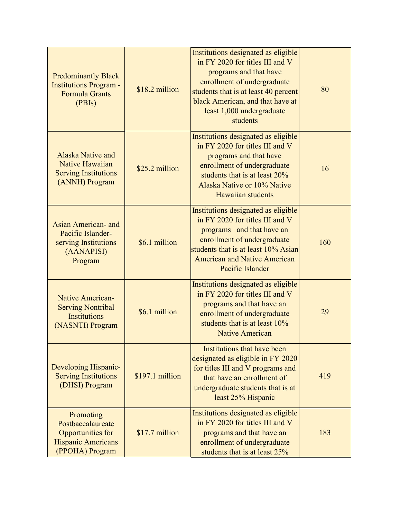| <b>Predominantly Black</b><br><b>Institutions Program -</b><br><b>Formula Grants</b><br>(PBIs)      | \$18.2 million   | Institutions designated as eligible<br>in FY 2020 for titles III and V<br>programs and that have<br>enrollment of undergraduate<br>students that is at least 40 percent<br>black American, and that have at<br>least 1,000 undergraduate<br>students | 80  |
|-----------------------------------------------------------------------------------------------------|------------------|------------------------------------------------------------------------------------------------------------------------------------------------------------------------------------------------------------------------------------------------------|-----|
| <b>Alaska Native and</b><br>Native Hawaiian<br><b>Serving Institutions</b><br>(ANNH) Program        | \$25.2 million   | Institutions designated as eligible<br>in FY 2020 for titles III and V<br>programs and that have<br>enrollment of undergraduate<br>students that is at least 20%<br>Alaska Native or 10% Native<br>Hawaiian students                                 | 16  |
| Asian American- and<br>Pacific Islander-<br>serving Institutions<br>(AANAPISI)<br>Program           | \$6.1 million    | Institutions designated as eligible<br>in FY 2020 for titles III and V<br>programs and that have an<br>enrollment of undergraduate<br>students that is at least 10% Asian<br><b>American and Native American</b><br>Pacific Islander                 | 160 |
| <b>Native American-</b><br><b>Serving Nontribal</b><br><b>Institutions</b><br>(NASNTI) Program      | \$6.1 million    | Institutions designated as eligible<br>in FY 2020 for titles III and V<br>programs and that have an<br>enrollment of undergraduate<br>students that is at least $10\%$<br><b>Native American</b>                                                     | 29  |
| Developing Hispanic-<br><b>Serving Institutions</b><br>(DHSI) Program                               | $$197.1$ million | Institutions that have been<br>designated as eligible in FY 2020<br>for titles III and V programs and<br>that have an enrollment of<br>undergraduate students that is at<br>least 25% Hispanic                                                       | 419 |
| Promoting<br>Postbaccalaureate<br>Opportunities for<br><b>Hispanic Americans</b><br>(PPOHA) Program | \$17.7 million   | Institutions designated as eligible<br>in FY 2020 for titles III and V<br>programs and that have an<br>enrollment of undergraduate<br>students that is at least 25%                                                                                  | 183 |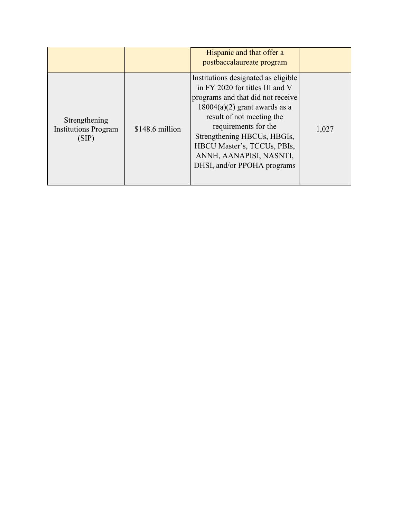|                                                       |                 | Hispanic and that offer a<br>postbaccalaureate program                                                                                                                                                                                                                                                                      |       |
|-------------------------------------------------------|-----------------|-----------------------------------------------------------------------------------------------------------------------------------------------------------------------------------------------------------------------------------------------------------------------------------------------------------------------------|-------|
| Strengthening<br><b>Institutions Program</b><br>(SIP) | \$148.6 million | Institutions designated as eligible<br>in FY 2020 for titles III and V<br>programs and that did not receive<br>$18004(a)(2)$ grant awards as a<br>result of not meeting the<br>requirements for the<br>Strengthening HBCUs, HBGIs,<br>HBCU Master's, TCCUs, PBIs,<br>ANNH, AANAPISI, NASNTI,<br>DHSI, and/or PPOHA programs | 1,027 |